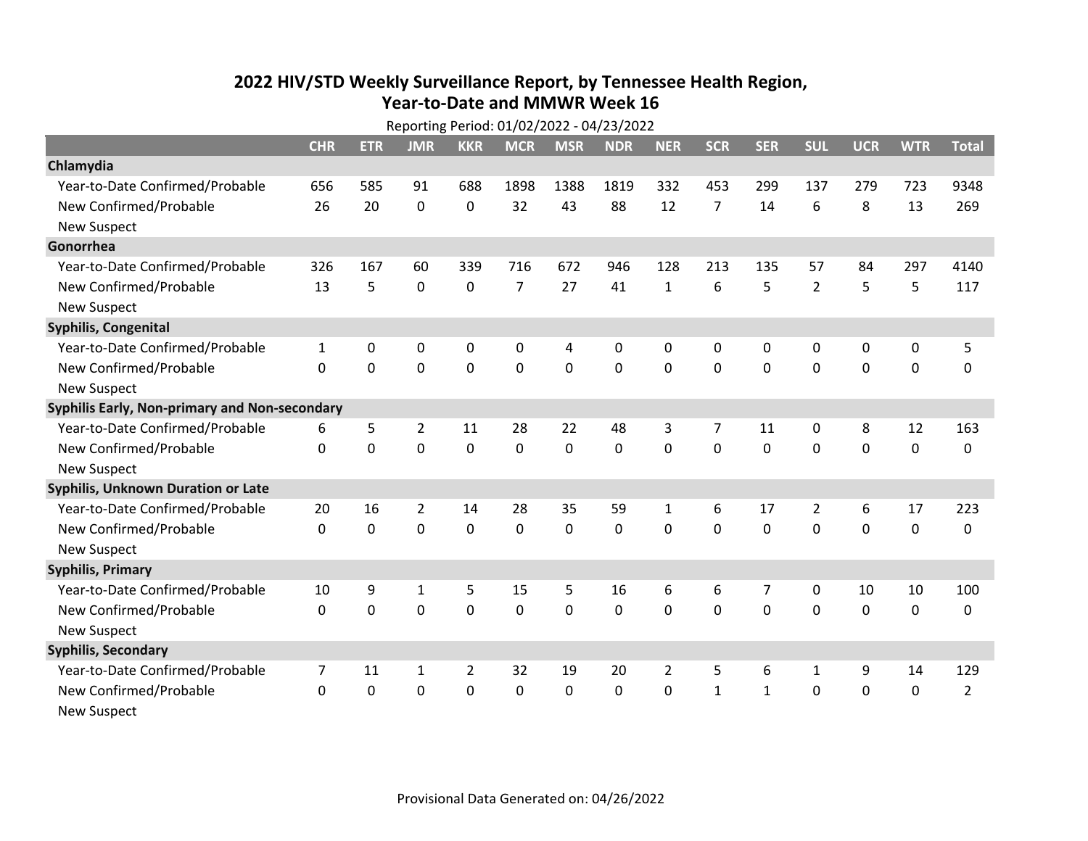## **2022 HIV /STD Weekl y Surveillance Report, b y Tennessee Health Region, Year‐to‐Date and MMWR Week 16**

|                                               | Reporting Period: 01/02/2022 - 04/23/2022 |              |                |                |                |            |            |                |                |              |                |             |             |                |
|-----------------------------------------------|-------------------------------------------|--------------|----------------|----------------|----------------|------------|------------|----------------|----------------|--------------|----------------|-------------|-------------|----------------|
|                                               | <b>CHR</b>                                | <b>ETR</b>   | <b>JMR</b>     | <b>KKR</b>     | <b>MCR</b>     | <b>MSR</b> | <b>NDR</b> | <b>NER</b>     | <b>SCR</b>     | <b>SER</b>   | <b>SUL</b>     | <b>UCR</b>  | <b>WTR</b>  | <b>Total</b>   |
| Chlamydia                                     |                                           |              |                |                |                |            |            |                |                |              |                |             |             |                |
| Year-to-Date Confirmed/Probable               | 656                                       | 585          | 91             | 688            | 1898           | 1388       | 1819       | 332            | 453            | 299          | 137            | 279         | 723         | 9348           |
| New Confirmed/Probable                        | 26                                        | 20           | $\mathbf 0$    | $\Omega$       | 32             | 43         | 88         | 12             | $\overline{7}$ | 14           | 6              | 8           | 13          | 269            |
| <b>New Suspect</b>                            |                                           |              |                |                |                |            |            |                |                |              |                |             |             |                |
| Gonorrhea                                     |                                           |              |                |                |                |            |            |                |                |              |                |             |             |                |
| Year-to-Date Confirmed/Probable               | 326                                       | 167          | 60             | 339            | 716            | 672        | 946        | 128            | 213            | 135          | 57             | 84          | 297         | 4140           |
| New Confirmed/Probable                        | 13                                        | 5            | $\mathbf 0$    | $\Omega$       | $\overline{7}$ | 27         | 41         | $\mathbf{1}$   | 6              | 5            | $\overline{2}$ | 5           | 5           | 117            |
| <b>New Suspect</b>                            |                                           |              |                |                |                |            |            |                |                |              |                |             |             |                |
| Syphilis, Congenital                          |                                           |              |                |                |                |            |            |                |                |              |                |             |             |                |
| Year-to-Date Confirmed/Probable               | $\mathbf{1}$                              | 0            | $\mathbf 0$    | 0              | 0              | 4          | 0          | 0              | $\mathbf{0}$   | 0            | 0              | 0           | 0           | 5              |
| New Confirmed/Probable                        | $\Omega$                                  | $\mathbf{0}$ | 0              | 0              | 0              | 0          | 0          | 0              | $\mathbf{0}$   | $\mathbf{0}$ | 0              | 0           | $\mathbf 0$ | 0              |
| <b>New Suspect</b>                            |                                           |              |                |                |                |            |            |                |                |              |                |             |             |                |
| Syphilis Early, Non-primary and Non-secondary |                                           |              |                |                |                |            |            |                |                |              |                |             |             |                |
| Year-to-Date Confirmed/Probable               | 6                                         | 5            | $\overline{2}$ | 11             | 28             | 22         | 48         | 3              | 7              | 11           | 0              | 8           | 12          | 163            |
| New Confirmed/Probable                        | 0                                         | 0            | 0              | 0              | 0              | 0          | 0          | 0              | 0              | 0            | 0              | $\mathbf 0$ | $\mathbf 0$ | 0              |
| <b>New Suspect</b>                            |                                           |              |                |                |                |            |            |                |                |              |                |             |             |                |
| <b>Syphilis, Unknown Duration or Late</b>     |                                           |              |                |                |                |            |            |                |                |              |                |             |             |                |
| Year-to-Date Confirmed/Probable               | 20                                        | 16           | $\overline{2}$ | 14             | 28             | 35         | 59         | 1              | 6              | 17           | 2              | 6           | 17          | 223            |
| New Confirmed/Probable                        | 0                                         | 0            | 0              | 0              | 0              | 0          | 0          | $\mathbf 0$    | 0              | 0            | 0              | $\mathbf 0$ | $\mathbf 0$ | 0              |
| <b>New Suspect</b>                            |                                           |              |                |                |                |            |            |                |                |              |                |             |             |                |
| <b>Syphilis, Primary</b>                      |                                           |              |                |                |                |            |            |                |                |              |                |             |             |                |
| Year-to-Date Confirmed/Probable               | 10                                        | 9            | 1              | 5              | 15             | 5          | 16         | 6              | 6              | 7            | 0              | 10          | 10          | 100            |
| New Confirmed/Probable                        | $\mathbf{0}$                              | 0            | $\mathbf 0$    | 0              | 0              | 0          | 0          | 0              | 0              | 0            | 0              | 0           | 0           | 0              |
| <b>New Suspect</b>                            |                                           |              |                |                |                |            |            |                |                |              |                |             |             |                |
| <b>Syphilis, Secondary</b>                    |                                           |              |                |                |                |            |            |                |                |              |                |             |             |                |
| Year-to-Date Confirmed/Probable               | 7                                         | 11           | 1              | $\overline{2}$ | 32             | 19         | 20         | $\overline{2}$ | 5              | 6            | $\mathbf{1}$   | 9           | 14          | 129            |
| New Confirmed/Probable                        | $\mathbf{0}$                              | 0            | 0              | 0              | $\Omega$       | 0          | 0          | 0              | $\mathbf{1}$   | $\mathbf{1}$ | 0              | 0           | 0           | $\overline{2}$ |
| <b>New Suspect</b>                            |                                           |              |                |                |                |            |            |                |                |              |                |             |             |                |